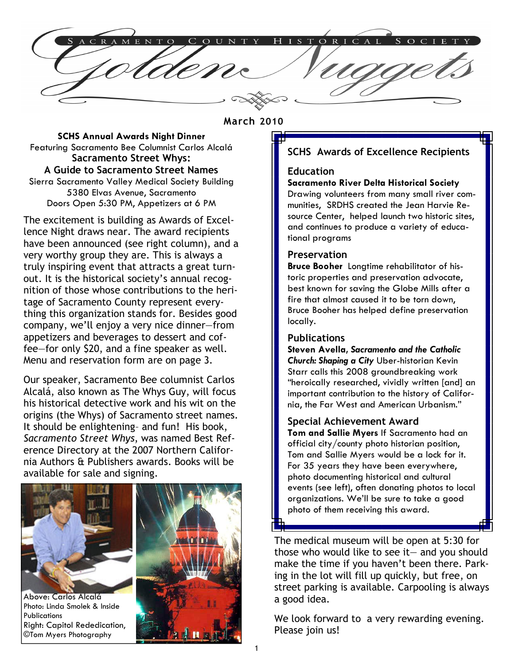$O$  R I C A L A C R A M E N T O COUN  $\mathbf{T}$  $H$  $\mathbf{C}$  $\mathbf{C}$ 

#### March 2010

SCHS Annual Awards Night Dinner Featuring Sacramento Bee Columnist Carlos Alcalá Sacramento Street Whys: A Guide to Sacramento Street Names Sierra Sacramento Valley Medical Society Building 5380 Elvas Avenue, Sacramento Doors Open 5:30 PM, Appetizers at 6 PM

The excitement is building as Awards of Excellence Night draws near. The award recipients have been announced (see right column), and a very worthy group they are. This is always a truly inspiring event that attracts a great turnout. It is the historical society's annual recognition of those whose contributions to the heritage of Sacramento County represent everything this organization stands for. Besides good company, we'll enjoy a very nice dinner—from appetizers and beverages to dessert and coffee—for only \$20, and a fine speaker as well. Menu and reservation form are on page 3.

Our speaker, Sacramento Bee columnist Carlos Alcalá, also known as The Whys Guy, will focus his historical detective work and his wit on the origins (the Whys) of Sacramento street names. It should be enlightening– and fun! His book, Sacramento Street Whys, was named Best Reference Directory at the 2007 Northern California Authors & Publishers awards. Books will be available for sale and signing.



Above: Carlos Alcalá Photo: Linda Smolek & Inside **Publications** Right: Capitol Rededication, ©Tom Myers Photography



### SCHS Awards of Excellence Recipients

#### Education

#### Sacramento River Delta Historical Society

Drawing volunteers from many small river communities, SRDHS created the Jean Harvie Resource Center, helped launch two historic sites, and continues to produce a variety of educational programs

#### **Preservation**

Bruce Booher Longtime rehabilitator of historic properties and preservation advocate, best known for saving the Globe Mills after a fire that almost caused it to be torn down, Bruce Booher has helped define preservation locally.

#### Publications

Steven Avella, Sacramento and the Catholic Church: Shaping a City Uber-historian Kevin Starr calls this 2008 groundbreaking work "heroically researched, vividly written [and] an important contribution to the history of California, the Far West and American Urbanism."

#### Special Achievement Award

Tom and Sallie Myers If Sacramento had an official city/county photo historian position, Tom and Sallie Myers would be a lock for it. For 35 years they have been everywhere, photo documenting historical and cultural events (see left), often donating photos to local organizations. We'll be sure to take a good photo of them receiving this award.

The medical museum will be open at 5:30 for those who would like to see it— and you should make the time if you haven't been there. Parking in the lot will fill up quickly, but free, on street parking is available. Carpooling is always a good idea.

We look forward to a very rewarding evening. Please join us!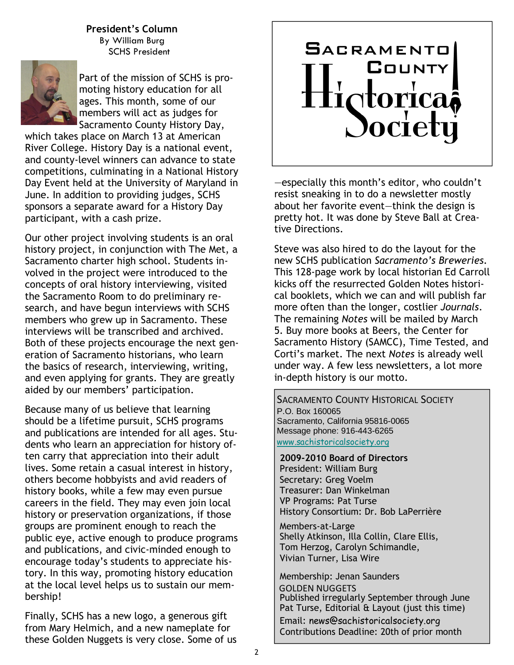President's Column By William Burg SCHS President



Part of the mission of SCHS is promoting history education for all ages. This month, some of our members will act as judges for Sacramento County History Day,

which takes place on March 13 at American River College. History Day is a national event, and county-level winners can advance to state competitions, culminating in a National History Day Event held at the University of Maryland in June. In addition to providing judges, SCHS sponsors a separate award for a History Day participant, with a cash prize.

Our other project involving students is an oral history project, in conjunction with The Met, a Sacramento charter high school. Students involved in the project were introduced to the concepts of oral history interviewing, visited the Sacramento Room to do preliminary research, and have begun interviews with SCHS members who grew up in Sacramento. These interviews will be transcribed and archived. Both of these projects encourage the next generation of Sacramento historians, who learn the basics of research, interviewing, writing, and even applying for grants. They are greatly aided by our members' participation.

Because many of us believe that learning should be a lifetime pursuit, SCHS programs and publications are intended for all ages. Students who learn an appreciation for history often carry that appreciation into their adult lives. Some retain a casual interest in history, others become hobbyists and avid readers of history books, while a few may even pursue careers in the field. They may even join local history or preservation organizations, if those groups are prominent enough to reach the public eye, active enough to produce programs and publications, and civic-minded enough to encourage today's students to appreciate history. In this way, promoting history education at the local level helps us to sustain our membership!

Finally, SCHS has a new logo, a generous gift from Mary Helmich, and a new nameplate for these Golden Nuggets is very close. Some of us

# **SACRAMENTO** COUNTY dtorica Societ

—especially this month's editor, who couldn't resist sneaking in to do a newsletter mostly about her favorite event—think the design is pretty hot. It was done by Steve Ball at Creative Directions.

Steve was also hired to do the layout for the new SCHS publication Sacramento's Breweries. This 128-page work by local historian Ed Carroll kicks off the resurrected Golden Notes historical booklets, which we can and will publish far more often than the longer, costlier Journals. The remaining Notes will be mailed by March 5. Buy more books at Beers, the Center for Sacramento History (SAMCC), Time Tested, and Corti's market. The next Notes is already well under way. A few less newsletters, a lot more in-depth history is our motto.

**SACRAMENTO COUNTY HISTORICAL SOCIETY** P.O. Box 160065 Sacramento, California 95816-0065 Message phone: 916-443-6265 www.sachistoricalsociety.org

 2009-2010 Board of Directors President: William Burg Secretary: Greg Voelm Treasurer: Dan Winkelman VP Programs: Pat Turse History Consortium: Dr. Bob LaPerrière

Members-at-Large Shelly Atkinson, Illa Collin, Clare Ellis, Tom Herzog, Carolyn Schimandle, Vivian Turner, Lisa Wire

 Membership: Jenan Saunders GOLDEN NUGGETS Published irregularly September through June Pat Turse, Editorial & Layout (just this time) Email: news@sachistoricalsociety.org Contributions Deadline: 20th of prior month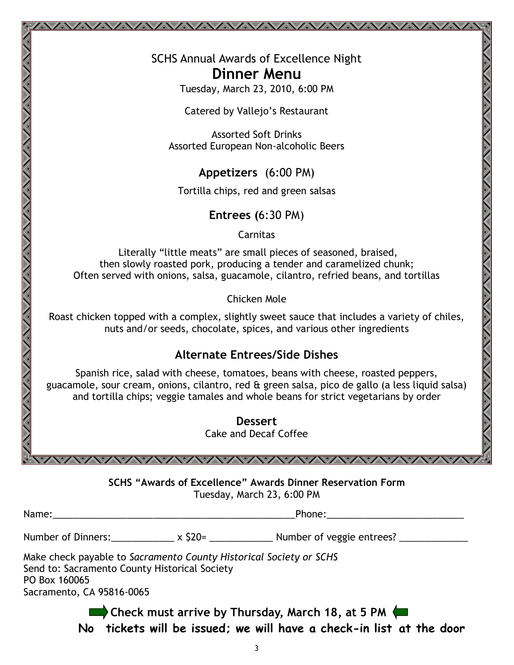SCHS Annual Awards of Excellence Night Dinner Menu

Tuesday, March 23, 2010, 6:00 PM

Catered by Vallejo's Restaurant

Assorted Soft Drinks Assorted European Non-alcoholic Beers

Appetizers (6:00 PM)

Tortilla chips, red and green salsas

Entrees (6:30 PM)

Carnitas

 Literally "little meats" are small pieces of seasoned, braised, then slowly roasted pork, producing a tender and caramelized chunk; Often served with onions, salsa, guacamole, cilantro, refried beans, and tortillas

Chicken Mole

Roast chicken topped with a complex, slightly sweet sauce that includes a variety of chiles, nuts and/or seeds, chocolate, spices, and various other ingredients

## Alternate Entrees/Side Dishes

Spanish rice, salad with cheese, tomatoes, beans with cheese, roasted peppers, guacamole, sour cream, onions, cilantro, red & green salsa, pico de gallo (a less liquid salsa) and tortilla chips; veggie tamales and whole beans for strict vegetarians by order

> Dessert Cake and Decaf Coffee

SCHS "Awards of Excellence" Awards Dinner Reservation Form Tuesday, March 23, 6:00 PM

| Name: |  |
|-------|--|
|       |  |

Number of Dinners:  $x \xi 20=$  Number of veggie entrees?

Make check payable to Sacramento County Historical Society or SCHS Send to: Sacramento County Historical Society PO Box 160065 Sacramento, CA 95816-0065

NYANYANYANYANY

Check must arrive by Thursday, March 18, at 5 PM No tickets will be issued; we will have a check-in list at the door

 $\blacksquare$  Phone:

WAVAVAVAVAVAVAVAVAVAVAVAV